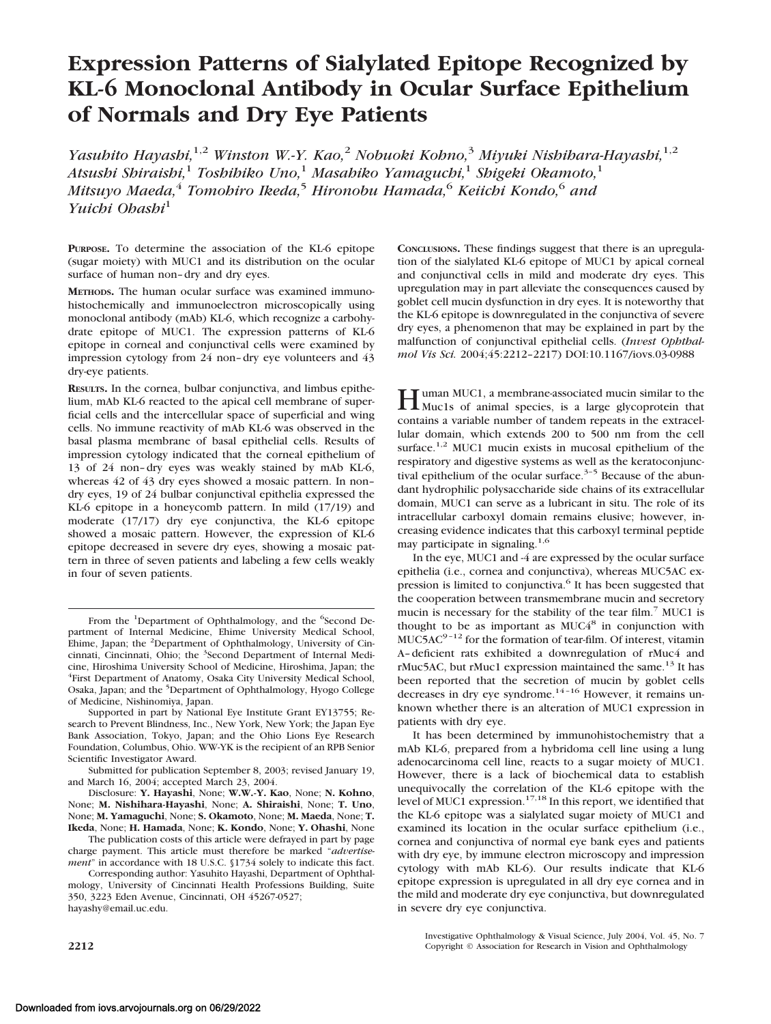# **Expression Patterns of Sialylated Epitope Recognized by KL-6 Monoclonal Antibody in Ocular Surface Epithelium of Normals and Dry Eye Patients**

*Yasuhito Hayashi,*1,2 *Winston W.-Y. Kao,*<sup>2</sup> *Nobuoki Kohno,*<sup>3</sup> *Miyuki Nishihara-Hayashi,*1,2 *Atsushi Shiraishi,*<sup>1</sup> *Toshihiko Uno,*<sup>1</sup> *Masahiko Yamaguchi,*<sup>1</sup> *Shigeki Okamoto,*<sup>1</sup> *Mitsuyo Maeda,*<sup>4</sup> *Tomohiro Ikeda,*<sup>5</sup> *Hironobu Hamada,*<sup>6</sup> *Keiichi Kondo,*<sup>6</sup> *and Yuichi Ohashi*<sup>1</sup>

**PURPOSE.** To determine the association of the KL-6 epitope (sugar moiety) with MUC1 and its distribution on the ocular surface of human non–dry and dry eyes.

**METHODS.** The human ocular surface was examined immunohistochemically and immunoelectron microscopically using monoclonal antibody (mAb) KL-6, which recognize a carbohydrate epitope of MUC1. The expression patterns of KL-6 epitope in corneal and conjunctival cells were examined by impression cytology from 24 non–dry eye volunteers and 43 dry-eye patients.

**RESULTS.** In the cornea, bulbar conjunctiva, and limbus epithelium, mAb KL-6 reacted to the apical cell membrane of superficial cells and the intercellular space of superficial and wing cells. No immune reactivity of mAb KL-6 was observed in the basal plasma membrane of basal epithelial cells. Results of impression cytology indicated that the corneal epithelium of 13 of 24 non–dry eyes was weakly stained by mAb KL-6, whereas 42 of 43 dry eyes showed a mosaic pattern. In non– dry eyes, 19 of 24 bulbar conjunctival epithelia expressed the KL-6 epitope in a honeycomb pattern. In mild (17/19) and moderate (17/17) dry eye conjunctiva, the KL-6 epitope showed a mosaic pattern. However, the expression of KL-6 epitope decreased in severe dry eyes, showing a mosaic pattern in three of seven patients and labeling a few cells weakly in four of seven patients.

Supported in part by National Eye Institute Grant EY13755; Research to Prevent Blindness, Inc., New York, New York; the Japan Eye Bank Association, Tokyo, Japan; and the Ohio Lions Eye Research Foundation, Columbus, Ohio. WW-YK is the recipient of an RPB Senior Scientific Investigator Award.

Submitted for publication September 8, 2003; revised January 19, and March 16, 2004; accepted March 23, 2004.

Disclosure: **Y. Hayashi**, None; **W.W.-Y. Kao**, None; **N. Kohno**, None; **M. Nishihara-Hayashi**, None; **A. Shiraishi**, None; **T. Uno**, None; **M. Yamaguchi**, None; **S. Okamoto**, None; **M. Maeda**, None; **T. Ikeda**, None; **H. Hamada**, None; **K. Kondo**, None; **Y. Ohashi**, None

The publication costs of this article were defrayed in part by page charge payment. This article must therefore be marked "*advertisement*" in accordance with 18 U.S.C. §1734 solely to indicate this fact.

Corresponding author: Yasuhito Hayashi, Department of Ophthalmology, University of Cincinnati Health Professions Building, Suite 350, 3223 Eden Avenue, Cincinnati, OH 45267-0527; hayashy@email.uc.edu.

**CONCLUSIONS.** These findings suggest that there is an upregulation of the sialylated KL-6 epitope of MUC1 by apical corneal and conjunctival cells in mild and moderate dry eyes. This upregulation may in part alleviate the consequences caused by goblet cell mucin dysfunction in dry eyes. It is noteworthy that the KL-6 epitope is downregulated in the conjunctiva of severe dry eyes, a phenomenon that may be explained in part by the malfunction of conjunctival epithelial cells. (*Invest Ophthalmol Vis Sci.* 2004;45:2212–2217) DOI:10.1167/iovs.03-0988

Human MUC1, a membrane-associated mucin similar to the Muc1s of animal species, is a large glycoprotein that contains a variable number of tandem repeats in the extracellular domain, which extends 200 to 500 nm from the cell surface.<sup>1,2</sup> MUC1 mucin exists in mucosal epithelium of the respiratory and digestive systems as well as the keratoconjunctival epithelium of the ocular surface.<sup>3-5</sup> Because of the abundant hydrophilic polysaccharide side chains of its extracellular domain, MUC1 can serve as a lubricant in situ. The role of its intracellular carboxyl domain remains elusive; however, increasing evidence indicates that this carboxyl terminal peptide may participate in signaling.<sup>1,6</sup>

In the eye, MUC1 and -4 are expressed by the ocular surface epithelia (i.e., cornea and conjunctiva), whereas MUC5AC expression is limited to conjunctiva.<sup>6</sup> It has been suggested that the cooperation between transmembrane mucin and secretory mucin is necessary for the stability of the tear film.<sup>7</sup> MUC1 is thought to be as important as  $MUC4<sup>8</sup>$  in conjunction with  $MUC5AC<sup>9-12</sup>$  for the formation of tear-film. Of interest, vitamin A–deficient rats exhibited a downregulation of rMuc4 and rMuc5AC, but rMuc1 expression maintained the same.<sup>13</sup> It has been reported that the secretion of mucin by goblet cells decreases in dry eye syndrome.<sup>14-16</sup> However, it remains unknown whether there is an alteration of MUC1 expression in patients with dry eye.

It has been determined by immunohistochemistry that a mAb KL-6, prepared from a hybridoma cell line using a lung adenocarcinoma cell line, reacts to a sugar moiety of MUC1. However, there is a lack of biochemical data to establish unequivocally the correlation of the KL-6 epitope with the level of MUC1 expression.<sup>17,18</sup> In this report, we identified that the KL-6 epitope was a sialylated sugar moiety of MUC1 and examined its location in the ocular surface epithelium (i.e., cornea and conjunctiva of normal eye bank eyes and patients with dry eye, by immune electron microscopy and impression cytology with mAb KL-6). Our results indicate that KL-6 epitope expression is upregulated in all dry eye cornea and in the mild and moderate dry eye conjunctiva, but downregulated in severe dry eye conjunctiva.

Investigative Ophthalmology & Visual Science, July 2004, Vol. 45, No. 7 **2212** Copyright © Association for Research in Vision and Ophthalmology

From the <sup>1</sup>Department of Ophthalmology, and the <sup>6</sup>Second Department of Internal Medicine, Ehime University Medical School, Ehime, Japan; the <sup>2</sup>Department of Ophthalmology, University of Cincinnati, Cincinnati, Ohio; the <sup>3</sup>Second Department of Internal Medicine, Hiroshima University School of Medicine, Hiroshima, Japan; the 4 First Department of Anatomy, Osaka City University Medical School, Osaka, Japan; and the <sup>5</sup>Department of Ophthalmology, Hyogo College of Medicine, Nishinomiya, Japan.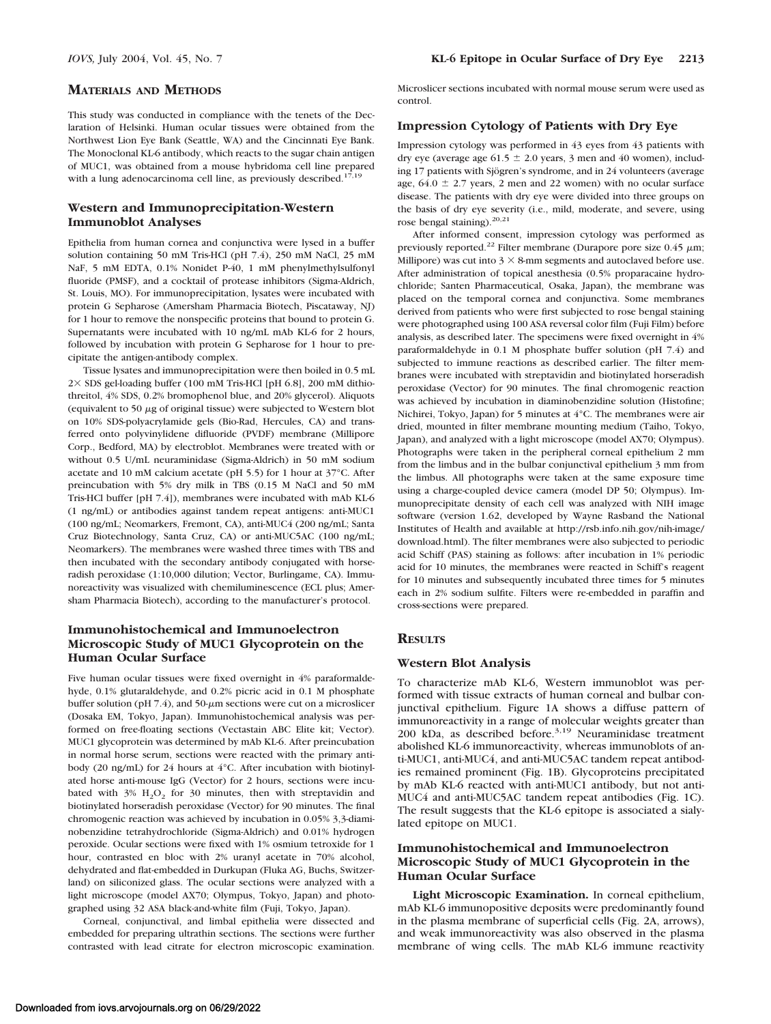This study was conducted in compliance with the tenets of the Declaration of Helsinki. Human ocular tissues were obtained from the Northwest Lion Eye Bank (Seattle, WA) and the Cincinnati Eye Bank. The Monoclonal KL-6 antibody, which reacts to the sugar chain antigen of MUC1, was obtained from a mouse hybridoma cell line prepared with a lung adenocarcinoma cell line, as previously described. $17,19$ 

## **Western and Immunoprecipitation-Western Immunoblot Analyses**

Epithelia from human cornea and conjunctiva were lysed in a buffer solution containing 50 mM Tris-HCl (pH 7.4), 250 mM NaCl, 25 mM NaF, 5 mM EDTA, 0.1% Nonidet P-40, 1 mM phenylmethylsulfonyl fluoride (PMSF), and a cocktail of protease inhibitors (Sigma-Aldrich, St. Louis, MO). For immunoprecipitation, lysates were incubated with protein G Sepharose (Amersham Pharmacia Biotech, Piscataway, NJ) for 1 hour to remove the nonspecific proteins that bound to protein G. Supernatants were incubated with 10 ng/mL mAb KL-6 for 2 hours, followed by incubation with protein G Sepharose for 1 hour to precipitate the antigen-antibody complex.

Tissue lysates and immunoprecipitation were then boiled in 0.5 mL  $2\times$  SDS gel-loading buffer (100 mM Tris-HCl [pH 6.8], 200 mM dithiothreitol, 4% SDS, 0.2% bromophenol blue, and 20% glycerol). Aliquots (equivalent to 50  $\mu$ g of original tissue) were subjected to Western blot on 10% SDS-polyacrylamide gels (Bio-Rad, Hercules, CA) and transferred onto polyvinylidene difluoride (PVDF) membrane (Millipore Corp., Bedford, MA) by electroblot. Membranes were treated with or without 0.5 U/mL neuraminidase (Sigma-Aldrich) in 50 mM sodium acetate and 10 mM calcium acetate (pH 5.5) for 1 hour at 37°C. After preincubation with 5% dry milk in TBS (0.15 M NaCl and 50 mM Tris-HCl buffer [pH 7.4]), membranes were incubated with mAb KL-6 (1 ng/mL) or antibodies against tandem repeat antigens: anti-MUC1 (100 ng/mL; Neomarkers, Fremont, CA), anti-MUC4 (200 ng/mL; Santa Cruz Biotechnology, Santa Cruz, CA) or anti-MUC5AC (100 ng/mL; Neomarkers). The membranes were washed three times with TBS and then incubated with the secondary antibody conjugated with horseradish peroxidase (1:10,000 dilution; Vector, Burlingame, CA). Immunoreactivity was visualized with chemiluminescence (ECL plus; Amersham Pharmacia Biotech), according to the manufacturer's protocol.

## **Immunohistochemical and Immunoelectron Microscopic Study of MUC1 Glycoprotein on the Human Ocular Surface**

Five human ocular tissues were fixed overnight in 4% paraformaldehyde, 0.1% glutaraldehyde, and 0.2% picric acid in 0.1 M phosphate buffer solution (pH  $7.4$ ), and  $50$ - $\mu$ m sections were cut on a microslicer (Dosaka EM, Tokyo, Japan). Immunohistochemical analysis was performed on free-floating sections (Vectastain ABC Elite kit; Vector). MUC1 glycoprotein was determined by mAb KL-6. After preincubation in normal horse serum, sections were reacted with the primary antibody (20 ng/mL) for 24 hours at 4°C. After incubation with biotinylated horse anti-mouse IgG (Vector) for 2 hours, sections were incubated with  $3\%$  H<sub>2</sub>O<sub>2</sub> for 30 minutes, then with streptavidin and biotinylated horseradish peroxidase (Vector) for 90 minutes. The final chromogenic reaction was achieved by incubation in 0.05% 3,3-diaminobenzidine tetrahydrochloride (Sigma-Aldrich) and 0.01% hydrogen peroxide. Ocular sections were fixed with 1% osmium tetroxide for 1 hour, contrasted en bloc with 2% uranyl acetate in 70% alcohol, dehydrated and flat-embedded in Durkupan (Fluka AG, Buchs, Switzerland) on siliconized glass. The ocular sections were analyzed with a light microscope (model AX70; Olympus, Tokyo, Japan) and photographed using 32 ASA black-and-white film (Fuji, Tokyo, Japan).

Corneal, conjunctival, and limbal epithelia were dissected and embedded for preparing ultrathin sections. The sections were further contrasted with lead citrate for electron microscopic examination.

Microslicer sections incubated with normal mouse serum were used as control.

## **Impression Cytology of Patients with Dry Eye**

Impression cytology was performed in 43 eyes from 43 patients with dry eye (average age  $61.5 \pm 2.0$  years, 3 men and 40 women), including 17 patients with Sjögren's syndrome, and in 24 volunteers (average age,  $64.0 \pm 2.7$  years, 2 men and 22 women) with no ocular surface disease. The patients with dry eye were divided into three groups on the basis of dry eye severity (i.e., mild, moderate, and severe, using rose bengal staining).<sup>20,21</sup>

After informed consent, impression cytology was performed as previously reported.<sup>22</sup> Filter membrane (Durapore pore size  $0.45 \mu m$ ; Millipore) was cut into  $3 \times 8$ -mm segments and autoclaved before use. After administration of topical anesthesia (0.5% proparacaine hydrochloride; Santen Pharmaceutical, Osaka, Japan), the membrane was placed on the temporal cornea and conjunctiva. Some membranes derived from patients who were first subjected to rose bengal staining were photographed using 100 ASA reversal color film (Fuji Film) before analysis, as described later. The specimens were fixed overnight in 4% paraformaldehyde in 0.1 M phosphate buffer solution (pH 7.4) and subjected to immune reactions as described earlier. The filter membranes were incubated with streptavidin and biotinylated horseradish peroxidase (Vector) for 90 minutes. The final chromogenic reaction was achieved by incubation in diaminobenzidine solution (Histofine; Nichirei, Tokyo, Japan) for 5 minutes at 4°C. The membranes were air dried, mounted in filter membrane mounting medium (Taiho, Tokyo, Japan), and analyzed with a light microscope (model AX70; Olympus). Photographs were taken in the peripheral corneal epithelium 2 mm from the limbus and in the bulbar conjunctival epithelium 3 mm from the limbus. All photographs were taken at the same exposure time using a charge-coupled device camera (model DP 50; Olympus). Immunoprecipitate density of each cell was analyzed with NIH image software (version 1.62, developed by Wayne Rasband the National Institutes of Health and available at http://rsb.info.nih.gov/nih-image/ download.html). The filter membranes were also subjected to periodic acid Schiff (PAS) staining as follows: after incubation in 1% periodic acid for 10 minutes, the membranes were reacted in Schiff's reagent for 10 minutes and subsequently incubated three times for 5 minutes each in 2% sodium sulfite. Filters were re-embedded in paraffin and cross-sections were prepared.

### **RESULTS**

### **Western Blot Analysis**

To characterize mAb KL-6, Western immunoblot was performed with tissue extracts of human corneal and bulbar conjunctival epithelium. Figure 1A shows a diffuse pattern of immunoreactivity in a range of molecular weights greater than 200 kDa, as described before. $3,19$  Neuraminidase treatment abolished KL-6 immunoreactivity, whereas immunoblots of anti-MUC1, anti-MUC4, and anti-MUC5AC tandem repeat antibodies remained prominent (Fig. 1B). Glycoproteins precipitated by mAb KL-6 reacted with anti-MUC1 antibody, but not anti-MUC4 and anti-MUC5AC tandem repeat antibodies (Fig. 1C). The result suggests that the KL-6 epitope is associated a sialylated epitope on MUC1.

### **Immunohistochemical and Immunoelectron Microscopic Study of MUC1 Glycoprotein in the Human Ocular Surface**

**Light Microscopic Examination.** In corneal epithelium, mAb KL-6 immunopositive deposits were predominantly found in the plasma membrane of superficial cells (Fig. 2A, arrows), and weak immunoreactivity was also observed in the plasma membrane of wing cells. The mAb KL-6 immune reactivity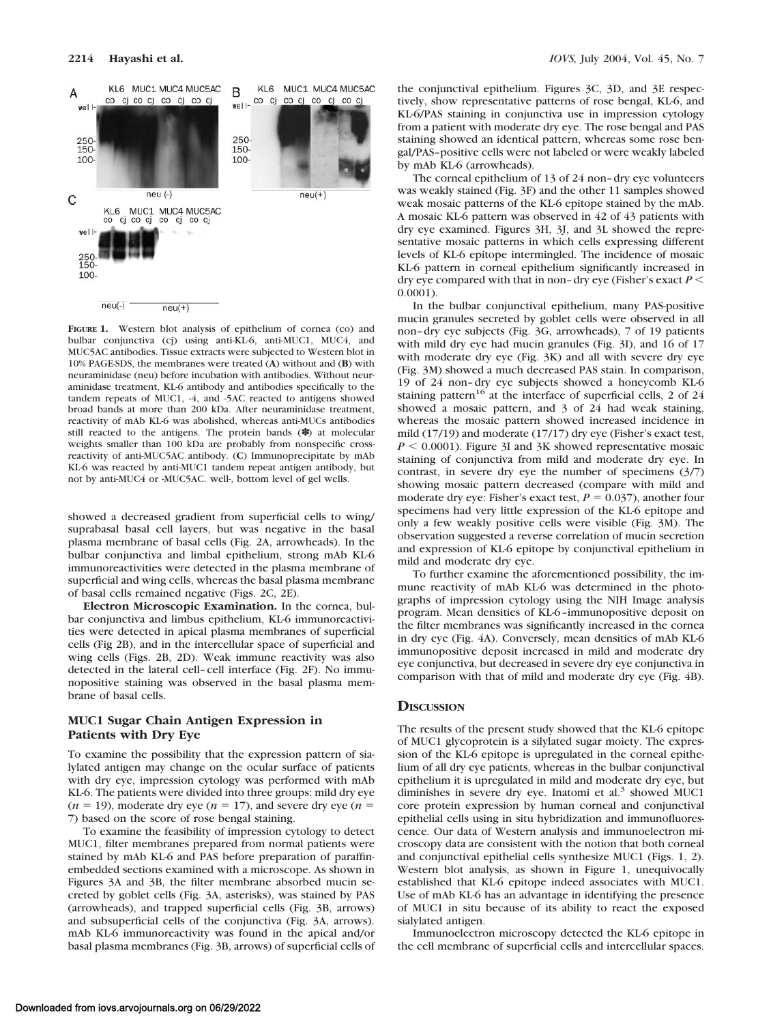

**FIGURE 1.** Western blot analysis of epithelium of cornea (co) and bulbar conjunctiva (cj) using anti-KL-6, anti-MUC1, MUC4, and MUC5AC antibodies. Tissue extracts were subjected to Western blot in 10% PAGE-SDS, the membranes were treated (**A**) without and (**B**) with neuraminidase (neu) before incubation with antibodies. Without neuraminidase treatment, KL-6 antibody and antibodies specifically to the tandem repeats of MUC1, -4, and -5AC reacted to antigens showed broad bands at more than 200 kDa. After neuraminidase treatment, reactivity of mAb KL-6 was abolished, whereas anti-MUCs antibodies still reacted to the antigens. The protein bands (✽) at molecular weights smaller than 100 kDa are probably from nonspecific crossreactivity of anti-MUC5AC antibody. (**C**) Immunoprecipitate by mAb KL-6 was reacted by anti-MUC1 tandem repeat antigen antibody, but not by anti-MUC4 or -MUC5AC. well-, bottom level of gel wells.

showed a decreased gradient from superficial cells to wing/ suprabasal basal cell layers, but was negative in the basal plasma membrane of basal cells (Fig. 2A, arrowheads). In the bulbar conjunctiva and limbal epithelium, strong mAb KL-6 immunoreactivities were detected in the plasma membrane of superficial and wing cells, whereas the basal plasma membrane of basal cells remained negative (Figs. 2C, 2E).

**Electron Microscopic Examination.** In the cornea, bulbar conjunctiva and limbus epithelium, KL-6 immunoreactivities were detected in apical plasma membranes of superficial cells (Fig 2B), and in the intercellular space of superficial and wing cells (Figs. 2B, 2D). Weak immune reactivity was also detected in the lateral cell–cell interface (Fig. 2F). No immunopositive staining was observed in the basal plasma membrane of basal cells.

#### **MUC1 Sugar Chain Antigen Expression in Patients with Dry Eye**

To examine the possibility that the expression pattern of sialylated antigen may change on the ocular surface of patients with dry eye, impression cytology was performed with mAb KL-6. The patients were divided into three groups: mild dry eye  $(n = 19)$ , moderate dry eye  $(n = 17)$ , and severe dry eye  $(n = 19)$ 7) based on the score of rose bengal staining.

To examine the feasibility of impression cytology to detect MUC1, filter membranes prepared from normal patients were stained by mAb KL-6 and PAS before preparation of paraffinembedded sections examined with a microscope. As shown in Figures 3A and 3B, the filter membrane absorbed mucin secreted by goblet cells (Fig. 3A, asterisks), was stained by PAS (arrowheads), and trapped superficial cells (Fig. 3B, arrows) and subsuperficial cells of the conjunctiva (Fig. 3A, arrows). mAb KL-6 immunoreactivity was found in the apical and/or basal plasma membranes (Fig. 3B, arrows) of superficial cells of the conjunctival epithelium. Figures 3C, 3D, and 3E respectively, show representative patterns of rose bengal, KL-6, and KL-6/PAS staining in conjunctiva use in impression cytology from a patient with moderate dry eye. The rose bengal and PAS staining showed an identical pattern, whereas some rose bengal/PAS–positive cells were not labeled or were weakly labeled by mAb KL-6 (arrowheads).

The corneal epithelium of 13 of 24 non–dry eye volunteers was weakly stained (Fig. 3F) and the other 11 samples showed weak mosaic patterns of the KL-6 epitope stained by the mAb. A mosaic KL-6 pattern was observed in 42 of 43 patients with dry eye examined. Figures 3H, 3J, and 3L showed the representative mosaic patterns in which cells expressing different levels of KL-6 epitope intermingled. The incidence of mosaic KL-6 pattern in corneal epithelium significantly increased in dry eye compared with that in non–dry eye (Fisher's exact *P* 0.0001).

In the bulbar conjunctival epithelium, many PAS-positive mucin granules secreted by goblet cells were observed in all non–dry eye subjects (Fig. 3G, arrowheads), 7 of 19 patients with mild dry eye had mucin granules (Fig. 3I), and 16 of 17 with moderate dry eye (Fig. 3K) and all with severe dry eye (Fig. 3M) showed a much decreased PAS stain. In comparison, 19 of 24 non–dry eye subjects showed a honeycomb KL-6 staining pattern<sup>16</sup> at the interface of superficial cells, 2 of 24 showed a mosaic pattern, and 3 of 24 had weak staining, whereas the mosaic pattern showed increased incidence in mild (17/19) and moderate (17/17) dry eye (Fisher's exact test,  $P \leq 0.0001$ ). Figure 3I and 3K showed representative mosaic staining of conjunctiva from mild and moderate dry eye. In contrast, in severe dry eye the number of specimens (3/7) showing mosaic pattern decreased (compare with mild and moderate dry eye: Fisher's exact test,  $P = 0.037$ ), another four specimens had very little expression of the KL-6 epitope and only a few weakly positive cells were visible (Fig. 3M). The observation suggested a reverse correlation of mucin secretion and expression of KL-6 epitope by conjunctival epithelium in mild and moderate dry eye.

To further examine the aforementioned possibility, the immune reactivity of mAb KL-6 was determined in the photographs of impression cytology using the NIH Image analysis program. Mean densities of KL-6–immunopositive deposit on the filter membranes was significantly increased in the cornea in dry eye (Fig. 4A). Conversely, mean densities of mAb KL-6 immunopositive deposit increased in mild and moderate dry eye conjunctiva, but decreased in severe dry eye conjunctiva in comparison with that of mild and moderate dry eye (Fig. 4B).

#### **DISCUSSION**

The results of the present study showed that the KL-6 epitope of MUC1 glycoprotein is a silylated sugar moiety. The expression of the KL-6 epitope is upregulated in the corneal epithelium of all dry eye patients, whereas in the bulbar conjunctival epithelium it is upregulated in mild and moderate dry eye, but diminishes in severe dry eye. Inatomi et al.<sup>3</sup> showed MUC1 core protein expression by human corneal and conjunctival epithelial cells using in situ hybridization and immunofluorescence. Our data of Western analysis and immunoelectron microscopy data are consistent with the notion that both corneal and conjunctival epithelial cells synthesize MUC1 (Figs. 1, 2). Western blot analysis, as shown in Figure 1, unequivocally established that KL-6 epitope indeed associates with MUC1. Use of mAb KL-6 has an advantage in identifying the presence of MUC1 in situ because of its ability to react the exposed sialylated antigen.

Immunoelectron microscopy detected the KL-6 epitope in the cell membrane of superficial cells and intercellular spaces.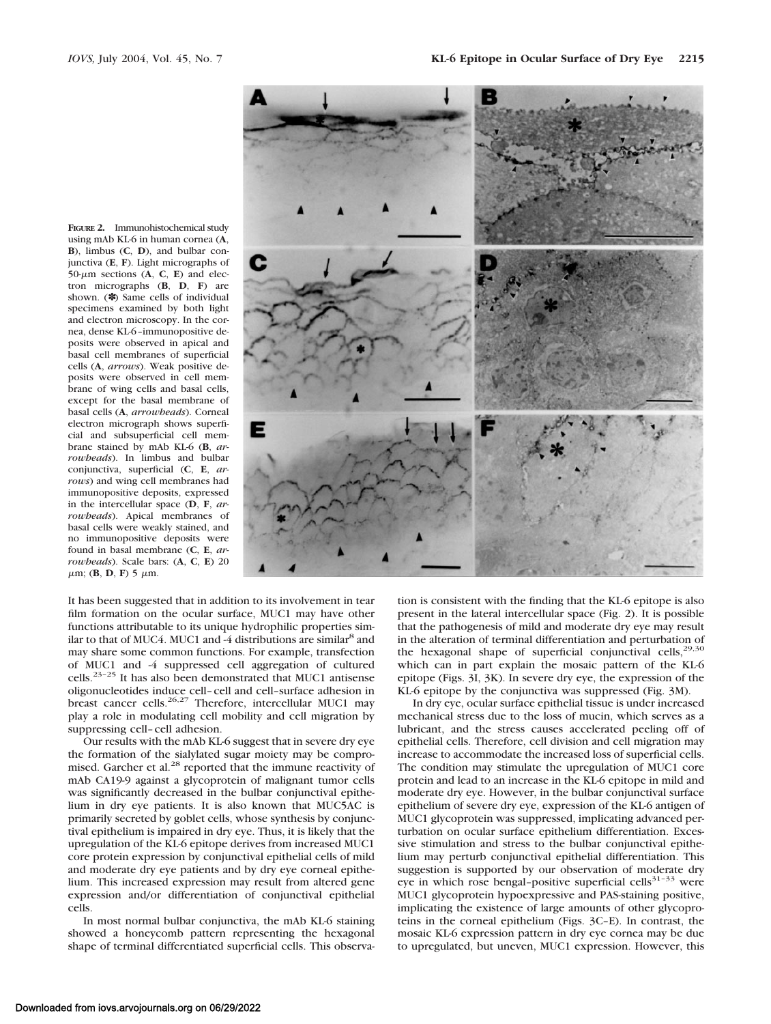**FIGURE 2.** Immunohistochemical study using mAb KL-6 in human cornea (**A**, **B**), limbus (**C**, **D**), and bulbar conjunctiva (**E**, **F**). Light micrographs of  $50-\mu m$  sections (A, C, E) and electron micrographs (**B**, **D**, **F**) are shown. (✽) Same cells of individual specimens examined by both light and electron microscopy. In the cornea, dense KL-6–immunopositive deposits were observed in apical and basal cell membranes of superficial cells (**A**, *arrows*). Weak positive deposits were observed in cell membrane of wing cells and basal cells, except for the basal membrane of basal cells (**A**, *arrowheads*). Corneal electron micrograph shows superficial and subsuperficial cell membrane stained by mAb KL-6 (**B**, *arrowheads*). In limbus and bulbar conjunctiva, superficial (**C**, **E**, *arrows*) and wing cell membranes had immunopositive deposits, expressed in the intercellular space (**D**, **F**, *arrowheads*). Apical membranes of basal cells were weakly stained, and no immunopositive deposits were found in basal membrane (**C**, **E**, *arrowheads*). Scale bars: (**A**, **C**, **E**) 20  $\mu$ m; (**B**, **D**, **F**) 5  $\mu$ m.



It has been suggested that in addition to its involvement in tear film formation on the ocular surface, MUC1 may have other functions attributable to its unique hydrophilic properties similar to that of MUC4. MUC1 and -4 distributions are similar<sup>8</sup> and may share some common functions. For example, transfection of MUC1 and -4 suppressed cell aggregation of cultured cells.23–25 It has also been demonstrated that MUC1 antisense oligonucleotides induce cell–cell and cell–surface adhesion in breast cancer cells.<sup>26,27</sup> Therefore, intercellular MUC1 may play a role in modulating cell mobility and cell migration by suppressing cell–cell adhesion.

Our results with the mAb KL-6 suggest that in severe dry eye the formation of the sialylated sugar moiety may be compromised. Garcher et al.<sup>28</sup> reported that the immune reactivity of mAb CA19-9 against a glycoprotein of malignant tumor cells was significantly decreased in the bulbar conjunctival epithelium in dry eye patients. It is also known that MUC5AC is primarily secreted by goblet cells, whose synthesis by conjunctival epithelium is impaired in dry eye. Thus, it is likely that the upregulation of the KL-6 epitope derives from increased MUC1 core protein expression by conjunctival epithelial cells of mild and moderate dry eye patients and by dry eye corneal epithelium. This increased expression may result from altered gene expression and/or differentiation of conjunctival epithelial cells.

In most normal bulbar conjunctiva, the mAb KL-6 staining showed a honeycomb pattern representing the hexagonal shape of terminal differentiated superficial cells. This observation is consistent with the finding that the KL-6 epitope is also present in the lateral intercellular space (Fig. 2). It is possible that the pathogenesis of mild and moderate dry eye may result in the alteration of terminal differentiation and perturbation of the hexagonal shape of superficial conjunctival cells, $29,30$ which can in part explain the mosaic pattern of the KL-6 epitope (Figs. 3I, 3K). In severe dry eye, the expression of the KL-6 epitope by the conjunctiva was suppressed (Fig. 3M).

In dry eye, ocular surface epithelial tissue is under increased mechanical stress due to the loss of mucin, which serves as a lubricant, and the stress causes accelerated peeling off of epithelial cells. Therefore, cell division and cell migration may increase to accommodate the increased loss of superficial cells. The condition may stimulate the upregulation of MUC1 core protein and lead to an increase in the KL-6 epitope in mild and moderate dry eye. However, in the bulbar conjunctival surface epithelium of severe dry eye, expression of the KL-6 antigen of MUC1 glycoprotein was suppressed, implicating advanced perturbation on ocular surface epithelium differentiation. Excessive stimulation and stress to the bulbar conjunctival epithelium may perturb conjunctival epithelial differentiation. This suggestion is supported by our observation of moderate dry eye in which rose bengal–positive superficial cells<sup>31–33</sup> were MUC1 glycoprotein hypoexpressive and PAS-staining positive, implicating the existence of large amounts of other glycoproteins in the corneal epithelium (Figs. 3C–E). In contrast, the mosaic KL-6 expression pattern in dry eye cornea may be due to upregulated, but uneven, MUC1 expression. However, this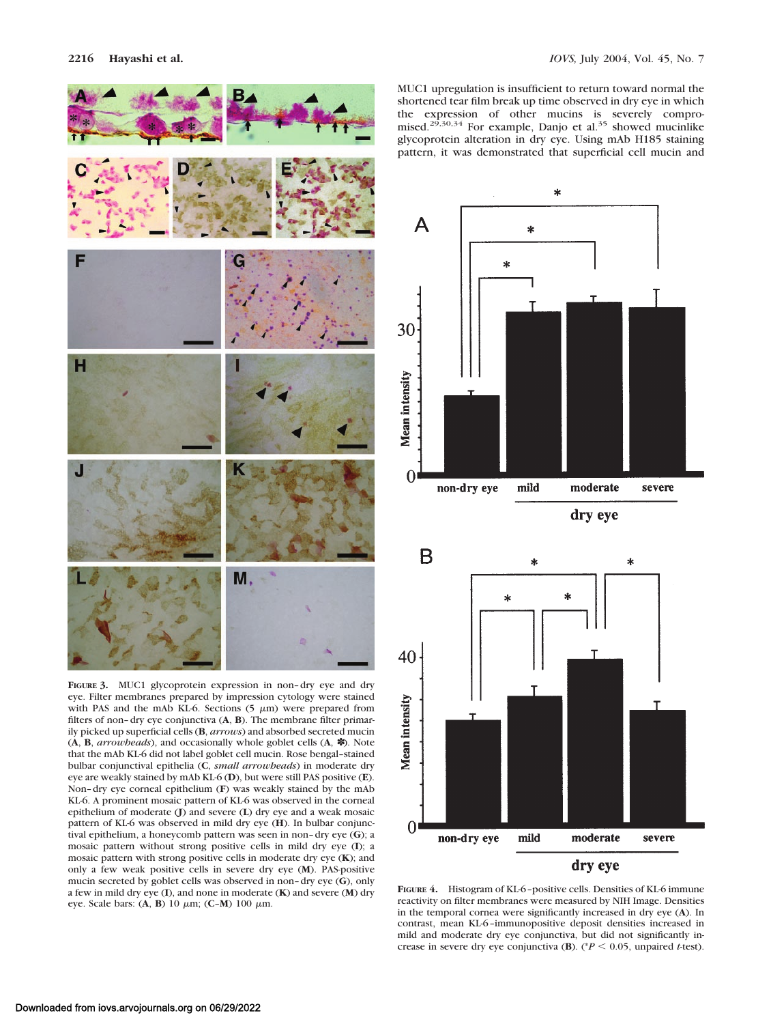

**FIGURE 3.** MUC1 glycoprotein expression in non–dry eye and dry eye. Filter membranes prepared by impression cytology were stained with PAS and the mAb KL-6. Sections  $(5 \mu m)$  were prepared from filters of non–dry eye conjunctiva (**A**, **B**). The membrane filter primarily picked up superficial cells (**B**, *arrows*) and absorbed secreted mucin (**A**, **B**, *arrowheads*), and occasionally whole goblet cells (**A**, ✽). Note that the mAb KL-6 did not label goblet cell mucin. Rose bengal–stained bulbar conjunctival epithelia (**C**, *small arrowheads*) in moderate dry eye are weakly stained by mAb KL-6 (**D**), but were still PAS positive (**E**). Non–dry eye corneal epithelium (**F**) was weakly stained by the mAb KL-6. A prominent mosaic pattern of KL-6 was observed in the corneal epithelium of moderate (**J**) and severe (**L**) dry eye and a weak mosaic pattern of KL-6 was observed in mild dry eye (**H**). In bulbar conjunctival epithelium, a honeycomb pattern was seen in non–dry eye (**G**); a mosaic pattern without strong positive cells in mild dry eye (**I**); a mosaic pattern with strong positive cells in moderate dry eye (**K**); and only a few weak positive cells in severe dry eye (**M**). PAS-positive mucin secreted by goblet cells was observed in non–dry eye (**G**), only a few in mild dry eye (**I**), and none in moderate (**K**) and severe (**M**) dry eye. Scale bars: (**A**, **B**) 10 m; (**C**–**M**) 100 m.

MUC1 upregulation is insufficient to return toward normal the shortened tear film break up time observed in dry eye in which the expression of other mucins is severely compro-<br>mised.<sup>29,30,34</sup> For example, Danjo et al.<sup>35</sup> showed mucinlike glycoprotein alteration in dry eye. Using mAb H185 staining pattern, it was demonstrated that superficial cell mucin and



**FIGURE 4.** Histogram of KL-6–positive cells. Densities of KL-6 immune reactivity on filter membranes were measured by NIH Image. Densities in the temporal cornea were significantly increased in dry eye (**A**). In contrast, mean KL-6–immunopositive deposit densities increased in mild and moderate dry eye conjunctiva, but did not significantly increase in severe dry eye conjunctiva (**B**). (\* $P$  < 0.05, unpaired *t*-test).